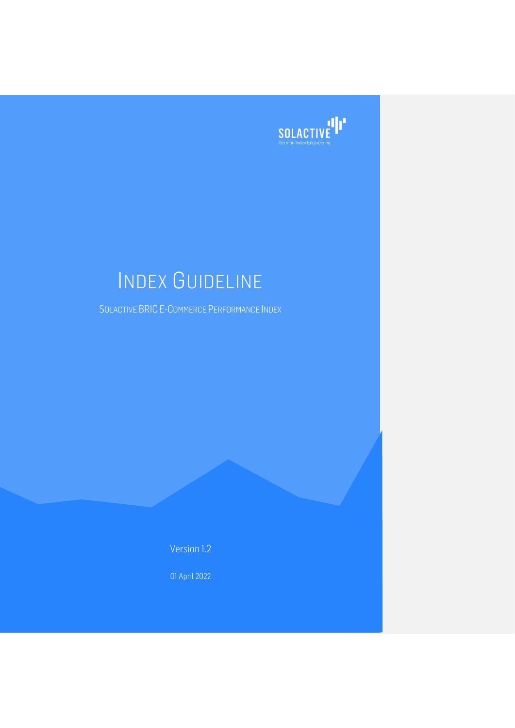

SOLACTIVE BRIC E-COMMERCE PERFORMANCE INDEX

Version 1.2

01 April 2022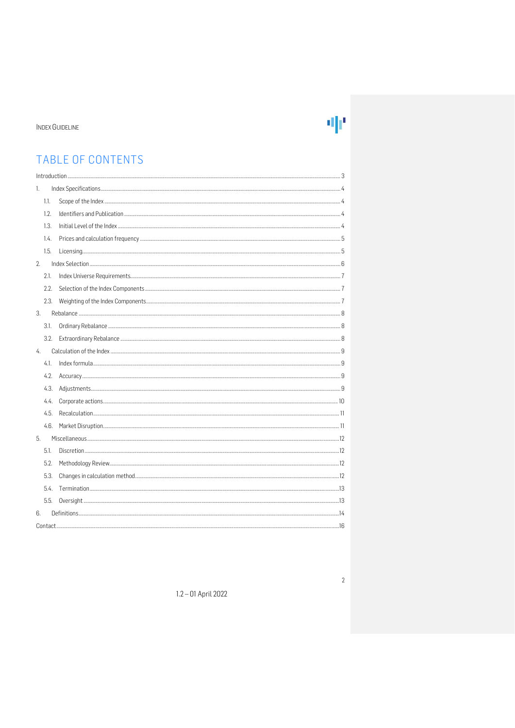# 业

### TABLE OF CONTENTS

| 1.   |  |  |  |
|------|--|--|--|
| 1.1. |  |  |  |
| 1.2. |  |  |  |
| 1.3. |  |  |  |
| 1.4. |  |  |  |
| 1.5. |  |  |  |
| 2.   |  |  |  |
| 2.1. |  |  |  |
| 2.2. |  |  |  |
| 2.3. |  |  |  |
| 3.   |  |  |  |
| 3.1. |  |  |  |
| 3.2. |  |  |  |
| 4.   |  |  |  |
| 4.1. |  |  |  |
| 4.2. |  |  |  |
| 4.3. |  |  |  |
| 4.4. |  |  |  |
| 4.5. |  |  |  |
| 4.6. |  |  |  |
| 5.   |  |  |  |
| 5.1. |  |  |  |
| 5.2. |  |  |  |
| 5.3. |  |  |  |
| 5.4. |  |  |  |
| 5.5. |  |  |  |
| 6.   |  |  |  |
|      |  |  |  |

 $\overline{2}$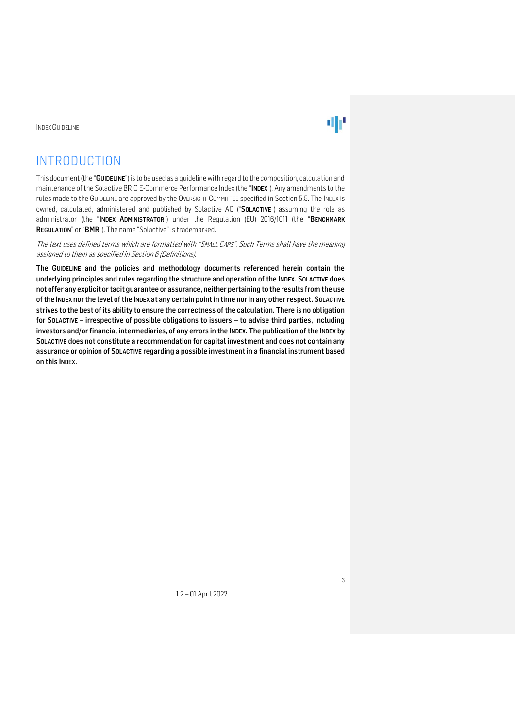

### <span id="page-2-0"></span>**INTRODUCTION**

This document (the "GUIDELINE") is to be used as a guideline with regard to the composition, calculation and maintenance of the Solactive BRIC E-Commerce Performance Index (the "INDEX"). Any amendments to the rules made to the GUIDELINE are approved by the OVERSIGHT COMMITTEE specified in Section 5.5. The INDEX is owned, calculated, administered and published by Solactive AG ("SOLACTIVE") assuming the role as administrator (the "INDEX ADMINISTRATOR") under the Regulation (EU) 2016/1011 (the "BENCHMARK REGULATION" or "BMR"). The name "Solactive" is trademarked.

The text uses defined terms which are formatted with "SMALL CAPS". Such Terms shall have the meaning assigned to them as specified in Section 6 (Definitions).

The GUIDELINE and the policies and methodology documents referenced herein contain the underlying principles and rules regarding the structure and operation of the INDEX. SOLACTIVE does not offer any explicit or tacit guarantee or assurance, neither pertaining to the results from the use of the INDEX nor the level of the INDEX at any certain point in time nor in any other respect. SOLACTIVE strives to the best of its ability to ensure the correctness of the calculation. There is no obligation for SOLACTIVE – irrespective of possible obligations to issuers – to advise third parties, including investors and/or financial intermediaries, of any errors in the INDEX. The publication of the INDEX by SOLACTIVE does not constitute a recommendation for capital investment and does not contain any assurance or opinion of SOLACTIVE regarding a possible investment in a financial instrument based on this INDEX.

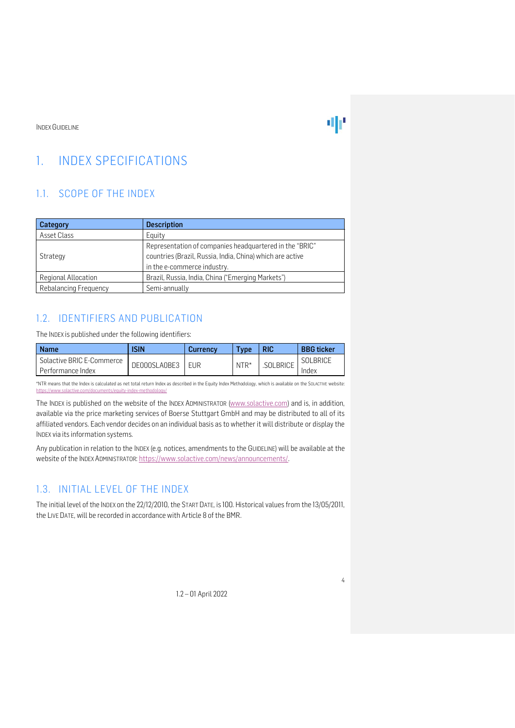## <span id="page-3-0"></span>1. INDEX SPECIFICATIONS

### <span id="page-3-1"></span>1.1. SCOPE OF THE INDEX

| Category              | <b>Description</b>                                        |  |  |
|-----------------------|-----------------------------------------------------------|--|--|
| Asset Class           | Equity                                                    |  |  |
|                       | Representation of companies headquartered in the "BRIC"   |  |  |
| Strategy              | countries (Brazil, Russia, India, China) which are active |  |  |
|                       | in the e-commerce industry.                               |  |  |
| Regional Allocation   | Brazil, Russia, India, China ("Emerging Markets")         |  |  |
| Rebalancing Frequency | Semi-annually                                             |  |  |

### <span id="page-3-2"></span>1.2. IDENTIFIERS AND PUBLICATION

The INDEX is published under the following identifiers:

| <b>Name</b>               | <b>ISIN</b>  | <b>Currency</b> | <b>Type</b> | RIC       | <b>BBG</b> ticker |
|---------------------------|--------------|-----------------|-------------|-----------|-------------------|
| Solactive BRIC E-Commerce | DE000SLA0BE3 | EUR             | $NTR*$      | .SOLBRICE | <b>SOLBRICE</b>   |
| Performance Index         |              |                 |             |           | Index             |

\*NTR means that the Index is calculated as net total return Index as described in the Equity Index Methodology, which is available on the SOLACTIVE website: <https://www.solactive.com/documents/equity-index-methodology/>

The INDEX is published on the website of the INDEX ADMINISTRATOR [\(www.solactive.com\)](http://www.solactive.com/) and is, in addition, available via the price marketing services of Boerse Stuttgart GmbH and may be distributed to all of its affiliated vendors. Each vendor decides on an individual basis as to whether it will distribute or display the INDEX via its information systems.

Any publication in relation to the INDEX (e.g. notices, amendments to the GUIDELINE) will be available at the website of the INDEX ADMINISTRATOR: [https://www.solactive.com/news/announcements/.](https://www.solactive.com/news/announcements/)

### <span id="page-3-3"></span>1.3. INITIAL LEVEL OF THE INDEX

The initial level of the INDEX on the 22/12/2010, the START DATE, is 100. Historical values from the 13/05/2011, the LIVE DATE, will be recorded in accordance with Article 8 of the BMR.

1.2 – 01 April 2022

业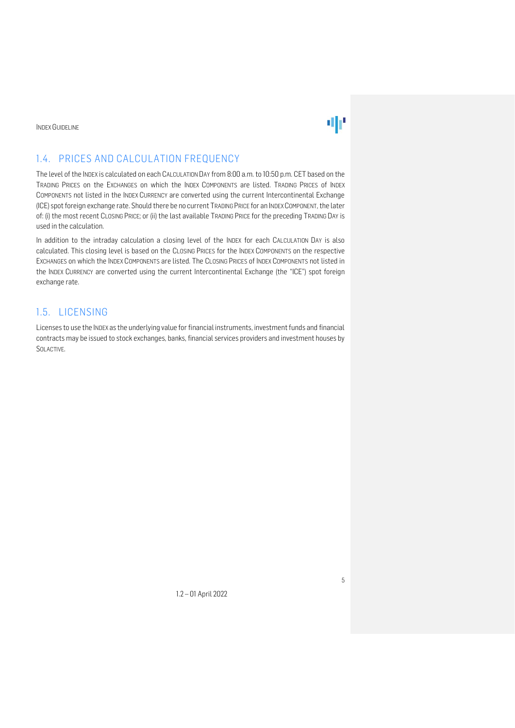

### <span id="page-4-0"></span>1.4. PRICES AND CALCULATION FREQUENCY

The level of the INDEX is calculated on each CALCULATION DAY from 8:00 a.m. to 10:50 p.m. CET based on the TRADING PRICES on the EXCHANGES on which the INDEX COMPONENTS are listed. TRADING PRICES of INDEX COMPONENTS not listed in the INDEX CURRENCY are converted using the current Intercontinental Exchange (ICE) spot foreign exchange rate. Should there be no current TRADING PRICE for an INDEXCOMPONENT, the later of: (i) the most recent CLOSING PRICE; or (ii) the last available TRADING PRICE for the preceding TRADING DAY is used in the calculation.

In addition to the intraday calculation a closing level of the INDEX for each CALCULATION DAY is also calculated. This closing level is based on the CLOSING PRICES for the INDEX COMPONENTS on the respective EXCHANGES on which the INDEX COMPONENTS are listed. The CLOSING PRICES of INDEX COMPONENTS not listed in the INDEX CURRENCY are converted using the current Intercontinental Exchange (the "ICE") spot foreign exchange rate.

#### <span id="page-4-1"></span>1.5. LICENSING

Licenses to use the INDEX as the underlying value for financial instruments, investment funds and financial contracts may be issued to stock exchanges, banks, financial services providers and investment houses by SOLACTIVE.

1.2 – 01 April 2022

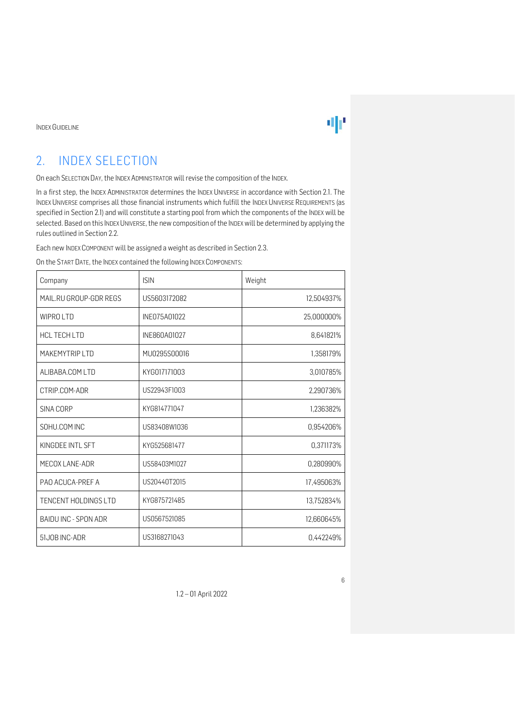## 业

### <span id="page-5-0"></span>2. INDEX SELECTION

On each SELECTION DAY, the INDEX ADMINISTRATOR will revise the composition of the INDEX.

In a first step, the INDEX ADMINISTRATOR determines the INDEX UNIVERSE in accordance with Section 2.1. The INDEX UNIVERSE comprises all those financial instruments which fulfill the INDEX UNIVERSE REQUIREMENTS (as specified in Section 2.1) and will constitute a starting pool from which the components of the INDEX will be selected. Based on this INDEX UNIVERSE, the new composition of the INDEX will be determined by applying the rules outlined in Section 2.2.

Each new INDEX COMPONENT will be assigned a weight as described in Section 2.3.

On the START DATE, the INDEX contained the following INDEX COMPONENTS:

| Company                | <b>ISIN</b>  | Weight     |
|------------------------|--------------|------------|
| MAIL.RU GROUP-GDR REGS | US5603172082 | 12,504937% |
| WIPRO LTD              | INE075A01022 | 25,000000% |
| <b>HCL TECH LTD</b>    | INE860A01027 | 8,641821%  |
| MAKFMYTRIP I TD        | MU0295S00016 | 1,358179%  |
| ALIBABA.COM LTD        | KYG017171003 | 3,010785%  |
| CTRIP.COM-ADR          | US22943F1003 | 2,290736%  |
| SINA CORP              | KYG814771047 | 1,236382%  |
| SOHU.COM INC           | US83408W1036 | 0,954206%  |
| KINGDEE INTL SFT       | KYG525681477 | 0.371173%  |
| MECOX LANE-ADR         | US58403M1027 | 0,280990%  |
| PAO ACUCA-PREF A       | US20440T2015 | 17,495063% |
| TENCENT HOLDINGS LTD   | KYG875721485 | 13,752834% |
| BAIDU INC - SPON ADR   | US0567521085 | 12,660645% |
| 51JOB INC-ADR          | US3168271043 | 0,442249%  |

1.2 – 01 April 2022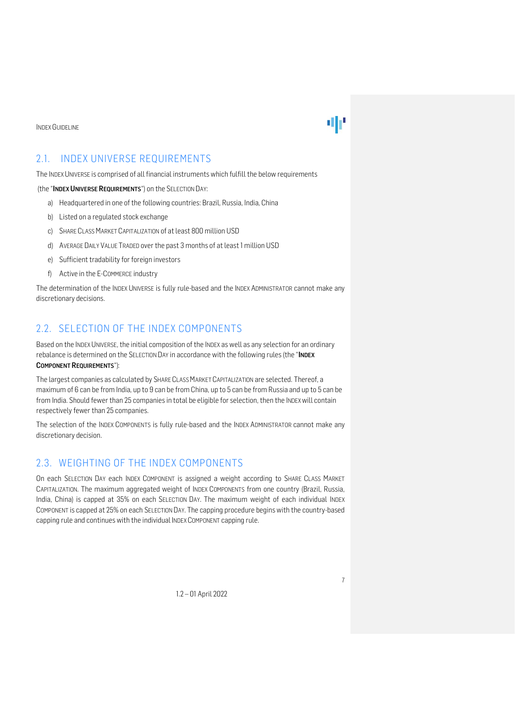### <span id="page-6-0"></span>2.1. INDEX UNIVERSE REQUIREMENTS

The INDEX UNIVERSE is comprised of all financial instruments which fulfill the below requirements

(the "INDEX UNIVERSE REQUIREMENTS") on the SELECTION DAY:

- a) Headquartered in one of the following countries: Brazil, Russia, India, China
- b) Listed on a regulated stock exchange
- c) SHARE CLASS MARKET CAPITALIZATION of at least 800 million USD
- d) AVERAGE DAILY VALUE TRADED over the past 3 months of at least 1 million USD
- e) Sufficient tradability for foreign investors
- f) Active in the E-COMMERCE industry

The determination of the INDEX UNIVERSE is fully rule-based and the INDEX ADMINISTRATOR cannot make any discretionary decisions.

### <span id="page-6-1"></span>2.2. SELECTION OF THE INDEX COMPONENTS

Based on the INDEXUNIVERSE, the initial composition of the INDEX as well as any selection for an ordinary rebalance is determined on the SELECTION DAY in accordance with the following rules (the "INDEX COMPONENT REQUIREMENTS"):

The largest companies as calculated by SHARE CLASS MARKET CAPITALIZATION are selected. Thereof, a maximum of 6 can be from India, up to 9 can be from China, up to 5 can be from Russia and up to 5 can be from India. Should fewer than 25 companies in total be eligible for selection, then the INDEXwill contain respectively fewer than 25 companies.

The selection of the INDEX COMPONENTS is fully rule-based and the INDEX ADMINISTRATOR cannot make any discretionary decision.

### <span id="page-6-2"></span>2.3. WEIGHTING OF THE INDEX COMPONENTS

On each SELECTION DAY each INDEX COMPONENT is assigned a weight according to SHARE CLASS MARKET CAPITALIZATION. The maximum aggregated weight of INDEX COMPONENTS from one country (Brazil, Russia, India, China) is capped at 35% on each SELECTION DAY. The maximum weight of each individual INDEX COMPONENT is capped at 25% on each SELECTION DAY. The capping procedure begins with the country-based capping rule and continues with the individual INDEXCOMPONENT capping rule.

1.2 – 01 April 2022

d | | | | | |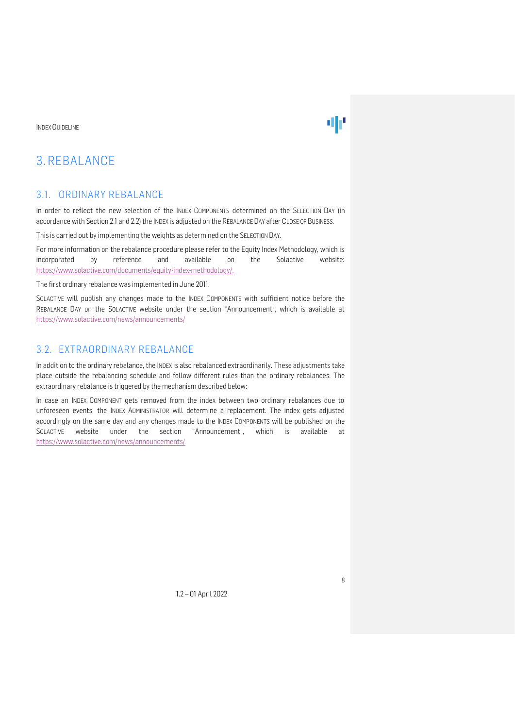## ΦF

### <span id="page-7-0"></span>3. REBALANCE

#### <span id="page-7-1"></span>3.1. ORDINARY REBALANCE

In order to reflect the new selection of the INDEX COMPONENTS determined on the SELECTION DAY (in accordance with Section 2.1 and 2.2) the INDEX is adjusted on the REBALANCE DAY after CLOSE OF BUSINESS.

This is carried out by implementing the weights as determined on the SELECTION DAY.

For more information on the rebalance procedure please refer to the Equity Index Methodology, which is incorporated by reference and available on the Solactive website: [https://www.solactive.com/documents/equity-index-methodology/.](https://www.solactive.com/documents/equity-index-methodology/)

The first ordinary rebalance was implemented in June 2011.

SOLACTIVE will publish any changes made to the INDEX COMPONENTS with sufficient notice before the REBALANCE DAY on the SOLACTIVE website under the section "Announcement", which is available at <https://www.solactive.com/news/announcements/>

### <span id="page-7-2"></span>3.2. EXTRAORDINARY REBALANCE

In addition to the ordinary rebalance, the INDEX is also rebalanced extraordinarily. These adjustments take place outside the rebalancing schedule and follow different rules than the ordinary rebalances. The extraordinary rebalance is triggered by the mechanism described below:

In case an INDEX COMPONENT gets removed from the index between two ordinary rebalances due to unforeseen events, the INDEX ADMINISTRATOR will determine a replacement. The index gets adjusted accordingly on the same day and any changes made to the INDEX COMPONENTS will be published on the SOLACTIVE website under the section "Announcement", which is available at <https://www.solactive.com/news/announcements/>

1.2 – 01 April 2022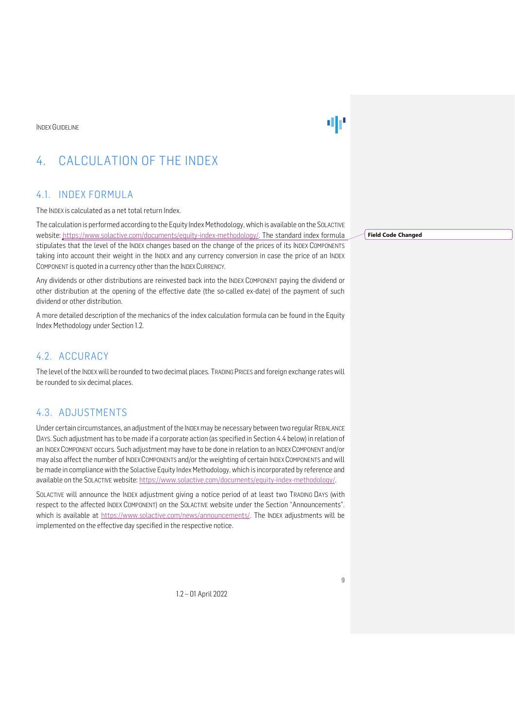### <span id="page-8-0"></span>4. CALCULATION OF THE INDEX

#### <span id="page-8-1"></span>4.1. INDEX FORMULA

#### The INDEX is calculated as a net total return Index.

The calculation is performed according to the Equity Index Methodology, which is available on the SOLACTIVE website: [https://www.solactive.com/documents/equity-index-methodology/.](https://www.solactive.com/documents/equity-index-methodology/) The standard index formula stipulates that the level of the INDEX changes based on the change of the prices of its INDEX COMPONENTS taking into account their weight in the INDEX and any currency conversion in case the price of an INDEX COMPONENT is quoted in a currency other than the INDEX CURRENCY.

Any dividends or other distributions are reinvested back into the INDEX COMPONENT paying the dividend or other distribution at the opening of the effective date (the so-called ex-date) of the payment of such dividend or other distribution.

A more detailed description of the mechanics of the index calculation formula can be found in the Equity Index Methodology under Section 1.2.

### <span id="page-8-2"></span>4.2. ACCURACY

The level of the INDEXwill be rounded to two decimal places. TRADING PRICES and foreign exchange rates will be rounded to six decimal places.

#### <span id="page-8-3"></span>4.3. ADJUSTMENTS

Under certain circumstances, an adjustment of the INDEX may be necessary between two regular REBALANCE DAYS. Such adjustment has to be made if a corporate action (as specified in Section 4.4 below) in relation of an INDEXCOMPONENT occurs. Such adjustment may have to be done in relation to an INDEXCOMPONENT and/or may also affect the number of INDEXCOMPONENTS and/or the weighting of certain INDEXCOMPONENTS and will be made in compliance with the Solactive Equity Index Methodology, which is incorporated by reference and available on the SOLACTIVE website: [https://www.solactive.com/documents/equity-index-methodology/.](https://www.solactive.com/documents/equity-index-methodology/)

SOLACTIVE will announce the INDEX adjustment giving a notice period of at least two TRADING DAYS (with respect to the affected INDEX COMPONENT) on the SOLACTIVE website under the Section "Announcements", which is available at https://www.solactive.com/news/announcements/. The INDEX adjustments will be implemented on the effective day specified in the respective notice.

**Field Code Changed**

d | | | | | |

1.2 – 01 April 2022

 $\overline{9}$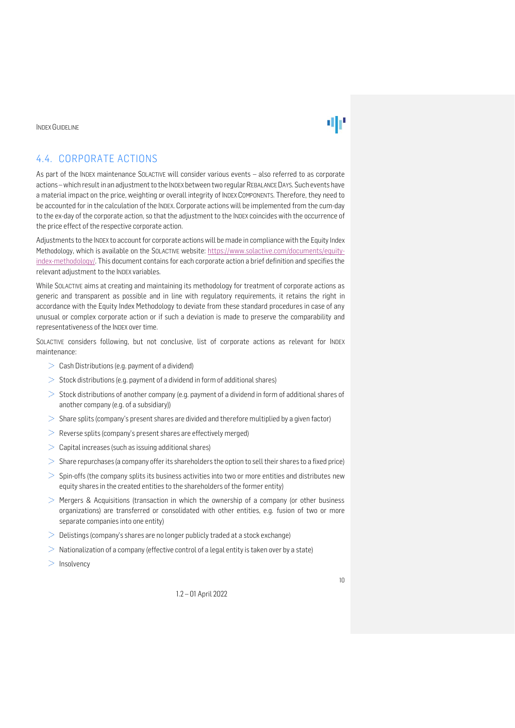

### <span id="page-9-0"></span>4.4. CORPORATE ACTIONS

As part of the INDEX maintenance SOLACTIVE will consider various events – also referred to as corporate actions –which result in an adjustment to the INDEX between two regular REBALANCE DAYS. Such events have a material impact on the price, weighting or overall integrity of INDEX COMPONENTS. Therefore, they need to be accounted for in the calculation of the INDEX. Corporate actions will be implemented from the cum-day to the ex-day of the corporate action, so that the adjustment to the INDEX coincides with the occurrence of the price effect of the respective corporate action.

Adjustments to the INDEX to account for corporate actions will be made in compliance with the Equity Index Methodology, which is available on the SOLACTIVE website: [https://www.solactive.com/documents/equity](https://www.solactive.com/documents/equity-index-methodology/)[index-methodology/.](https://www.solactive.com/documents/equity-index-methodology/) This document contains for each corporate action a brief definition and specifies the relevant adjustment to the INDEX variables.

While SOLACTIVE aims at creating and maintaining its methodology for treatment of corporate actions as generic and transparent as possible and in line with regulatory requirements, it retains the right in accordance with the Equity Index Methodology to deviate from these standard procedures in case of any unusual or complex corporate action or if such a deviation is made to preserve the comparability and representativeness of the INDEX over time.

SOLACTIVE considers following, but not conclusive, list of corporate actions as relevant for INDEX maintenance:

- $\geq$  Cash Distributions (e.g. payment of a dividend)
- $>$  Stock distributions (e.g. payment of a dividend in form of additional shares)
- $>$  Stock distributions of another company (e.g. payment of a dividend in form of additional shares of another company (e.g. of a subsidiary))
- $>$  Share splits (company's present shares are divided and therefore multiplied by a given factor)
- Reverse splits (company's present shares are effectively merged)
- $>$  Capital increases (such as issuing additional shares)
- $>$  Share repurchases (a company offer its shareholders the option to sell their shares to a fixed price)
- $>$  Spin-offs (the company splits its business activities into two or more entities and distributes new equity shares in the created entities to the shareholders of the former entity)
- $>$  Mergers & Acquisitions (transaction in which the ownership of a company (or other business organizations) are transferred or consolidated with other entities, e.g. fusion of two or more separate companies into one entity)
- $\geq 0$  Delistings (company's shares are no longer publicly traded at a stock exchange)
- $>$  Nationalization of a company (effective control of a legal entity is taken over by a state)
- $\geq$ Insolvency

1.2 – 01 April 2022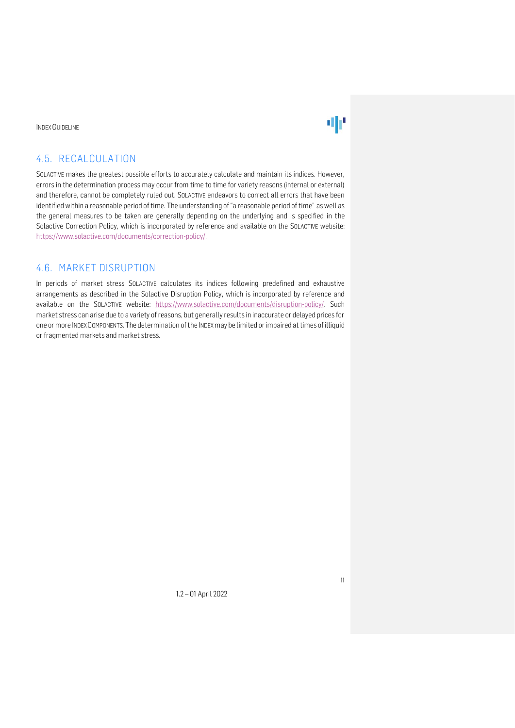

### <span id="page-10-0"></span>4.5. RECALCULATION

SOLACTIVE makes the greatest possible efforts to accurately calculate and maintain its indices. However, errors in the determination process may occur from time to time for variety reasons (internal or external) and therefore, cannot be completely ruled out. SOLACTIVE endeavors to correct all errors that have been identified within a reasonable period of time. The understanding of "a reasonable period of time" as well as the general measures to be taken are generally depending on the underlying and is specified in the Solactive Correction Policy, which is incorporated by reference and available on the SOLACTIVE website: [https://www.solactive.com/documents/correction-policy/.](https://www.solactive.com/documents/correction-policy/)

### <span id="page-10-1"></span>4.6. MARKET DISRUPTION

In periods of market stress SOLACTIVE calculates its indices following predefined and exhaustive arrangements as described in the Solactive Disruption Policy, which is incorporated by reference and available on the SOLACTIVE website: [https://www.solactive.com/documents/disruption-policy/.](https://www.solactive.com/documents/disruption-policy/) Such market stress can arise due to a variety of reasons, but generally results in inaccurate or delayed prices for one or more INDEXCOMPONENTS. The determination of the INDEXmay be limited or impaired at times of illiquid or fragmented markets and market stress.

1.2 – 01 April 2022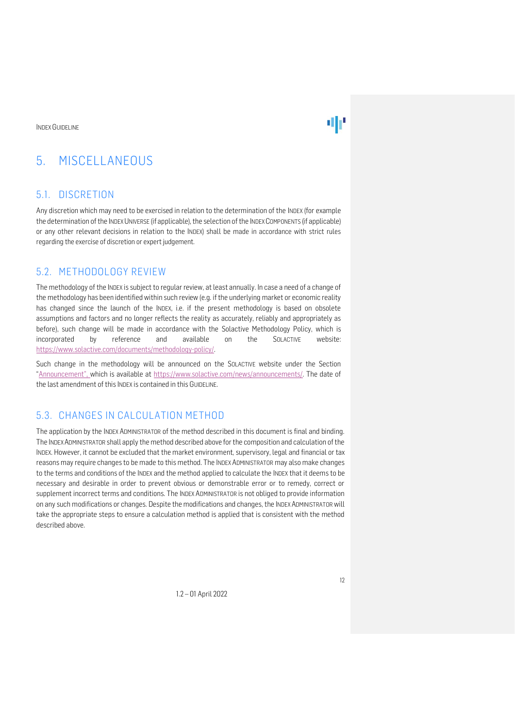### <span id="page-11-0"></span>5. MISCELLANEOUS

### <span id="page-11-1"></span>5.1. DISCRETION

Any discretion which may need to be exercised in relation to the determination of the INDEX (for example the determination of the INDEXUNIVERSE (if applicable), the selection of the INDEXCOMPONENTS (if applicable) or any other relevant decisions in relation to the INDEX) shall be made in accordance with strict rules regarding the exercise of discretion or expert judgement.

### <span id="page-11-2"></span>5.2. METHODOLOGY REVIEW

The methodology of the INDEX is subject to regular review, at least annually. In case a need of a change of the methodology has been identified within such review (e.g. if the underlying market or economic reality has changed since the launch of the INDEX, i.e. if the present methodology is based on obsolete assumptions and factors and no longer reflects the reality as accurately, reliably and appropriately as before), such change will be made in accordance with the Solactive Methodology Policy, which is incorporated by reference and available on the SOLACTIVE website: [https://www.solactive.com/documents/methodology-policy/.](https://www.solactive.com/documents/methodology-policy/)

Such change in the methodology will be announced on the SOLACTIVE website under the Section "Announcement", which is available at [https://www.solactive.com/news/announcements/.](https://www.solactive.com/news/announcements/) The date of the last amendment of this INDEX is contained in this GUIDELINE.

### <span id="page-11-3"></span>5.3. CHANGES IN CALCULATION METHOD

The application by the INDEX ADMINISTRATOR of the method described in this document is final and binding. The INDEXADMINISTRATOR shall apply the method described above for the composition and calculation of the INDEX. However, it cannot be excluded that the market environment, supervisory, legal and financial or tax reasons may require changes to be made to this method. The INDEXADMINISTRATOR may also make changes to the terms and conditions of the INDEX and the method applied to calculate the INDEX that it deems to be necessary and desirable in order to prevent obvious or demonstrable error or to remedy, correct or supplement incorrect terms and conditions. The INDEX ADMINISTRATOR is not obliged to provide information on any such modifications or changes. Despite the modifications and changes, the INDEX ADMINISTRATOR will take the appropriate steps to ensure a calculation method is applied that is consistent with the method described above.

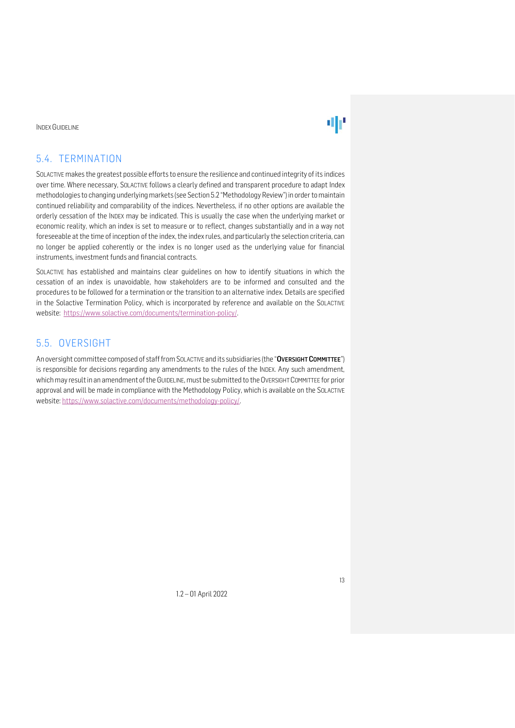

### <span id="page-12-0"></span>5.4. TERMINATION

SOLACTIVEmakes the greatest possible efforts to ensure the resilience and continued integrity of its indices over time. Where necessary, SOLACTIVE follows a clearly defined and transparent procedure to adapt Index methodologies to changing underlying markets (see Section 5.2 "Methodology Review") in order to maintain continued reliability and comparability of the indices. Nevertheless, if no other options are available the orderly cessation of the INDEX may be indicated. This is usually the case when the underlying market or economic reality, which an index is set to measure or to reflect, changes substantially and in a way not foreseeable at the time of inception of the index, the index rules, and particularly the selection criteria, can no longer be applied coherently or the index is no longer used as the underlying value for financial instruments, investment funds and financial contracts.

SOLACTIVE has established and maintains clear guidelines on how to identify situations in which the cessation of an index is unavoidable, how stakeholders are to be informed and consulted and the procedures to be followed for a termination or the transition to an alternative index. Details are specified in the Solactive Termination Policy, which is incorporated by reference and available on the SOLACTIVE website: [https://www.solactive.com/documents/termination-policy/.](https://www.solactive.com/documents/termination-policy/)

### <span id="page-12-1"></span>5.5. OVERSIGHT

An oversight committee composed of staff from SOLACTIVE and its subsidiaries (the "OVERSIGHT COMMITTEE") is responsible for decisions regarding any amendments to the rules of the INDEX. Any such amendment, which may result in an amendment of the GUIDELINE, must be submitted to the OVERSIGHT COMMITTEE for prior approval and will be made in compliance with the [Methodology](http://methodology/) Policy, which is available on the SOLACTIVE website: [https://www.solactive.com/documents/methodology-policy/.](https://www.solactive.com/documents/methodology-policy/)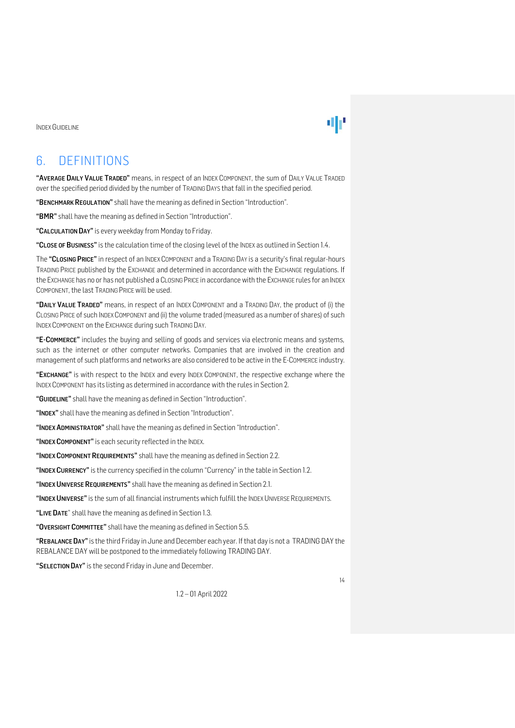### <span id="page-13-0"></span>6. DEFINITIONS

"AVERAGE DAILY VALUE TRADED" means, in respect of an INDEX COMPONENT, the sum of DAILY VALUE TRADED over the specified period divided by the number of TRADING DAYS that fall in the specified period.

"BENCHMARK REGULATION" shall have the meaning as defined in Section "Introduction".

"BMR" shall have the meaning as defined in Section "Introduction".

"CALCULATION DAY" is every weekday from Monday to Friday.

"CLOSE OF BUSINESS" is the calculation time of the closing level of the INDEX as outlined in Section 1.4.

The "CLOSING PRICE" in respect of an INDEX COMPONENT and a TRADING DAY is a security's final regular-hours TRADING PRICE published by the EXCHANGE and determined in accordance with the EXCHANGE regulations. If the EXCHANGE has no or has not published a CLOSING PRICE in accordance with the EXCHANGE rules for an INDEX COMPONENT, the last TRADING PRICEwill be used.

"DAILY VALUE TRADED" means, in respect of an INDEX COMPONENT and a TRADING DAY, the product of (i) the CLOSING PRICE of such INDEXCOMPONENT and (ii) the volume traded (measured as a number of shares) of such INDEX COMPONENT on the EXCHANGE during such TRADING DAY.

"E-COMMERCE" includes the buying and selling of goods and services via electronic means and systems, such as the internet or other computer networks. Companies that are involved in the creation and management of such platforms and networks are also considered to be active in the E-COMMERCE industry.

"EXCHANGE" is with respect to the INDEX and every INDEX COMPONENT, the respective exchange where the INDEXCOMPONENT has its listing as determined in accordance with the rules in Section 2.

"GUIDELINE" shall have the meaning as defined in Section "Introduction".

"INDEX" shall have the meaning as defined in Section "Introduction".

"INDEX ADMINISTRATOR" shall have the meaning as defined in Section "Introduction".

"INDEX COMPONENT" is each security reflected in the INDEX.

"INDEX COMPONENT REQUIREMENTS" shall have the meaning as defined in Section 2.2.

"INDEX CURRENCY" is the currency specified in the column "Currency" in the table in Section 1.2.

"INDEX UNIVERSE REQUIREMENTS" shall have the meaning as defined in Section 2.1.

"INDEX UNIVERSE" is the sum of all financial instruments which fulfill the INDEX UNIVERSE REQUIREMENTS.

"LIVE DATE" shall have the meaning as defined in Section 1.3.

"OVERSIGHT COMMITTEE" shall have the meaning as defined in Section 5.5.

"REBALANCE DAY" is the third Friday in June and December each year. If that day is not a TRADING DAY the REBALANCE DAY will be postponed to the immediately following TRADING DAY.

"SELECTION DAY" is the second Friday in June and December.

14

1.2 – 01 April 2022

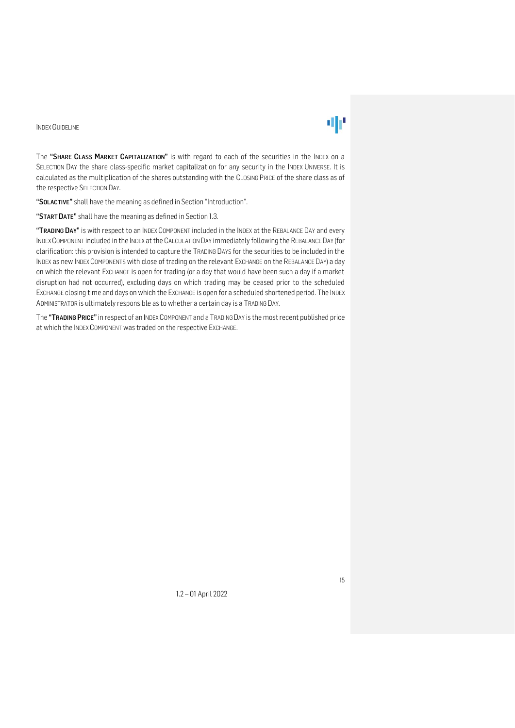# ΦF

The "SHARE CLASS MARKET CAPITALIZATION" is with regard to each of the securities in the INDEX on a SELECTION DAY the share class-specific market capitalization for any security in the INDEX UNIVERSE. It is calculated as the multiplication of the shares outstanding with the CLOSING PRICE of the share class as of the respective SELECTION DAY.

"SOLACTIVE" shall have the meaning as defined in Section "Introduction".

"START DATE" shall have the meaning as defined in Section 1.3.

"TRADING DAY" is with respect to an INDEX COMPONENT included in the INDEX at the REBALANCE DAY and every INDEXCOMPONENT included in the INDEX at the CALCULATION DAY immediately following the REBALANCE DAY (for clarification: this provision is intended to capture the TRADING DAYS for the securities to be included in the INDEX as new INDEX COMPONENTS with close of trading on the relevant EXCHANGE on the REBALANCE DAY) a day on which the relevant EXCHANGE is open for trading (or a day that would have been such a day if a market disruption had not occurred), excluding days on which trading may be ceased prior to the scheduled EXCHANGE closing time and days on which the EXCHANGE is open for a scheduled shortened period. The INDEX ADMINISTRATOR is ultimately responsible as to whether a certain day is a TRADING DAY.

The "TRADING PRICE" in respect of an INDEX COMPONENT and a TRADING DAY is the most recent published price at which the INDEX COMPONENT was traded on the respective EXCHANGE.